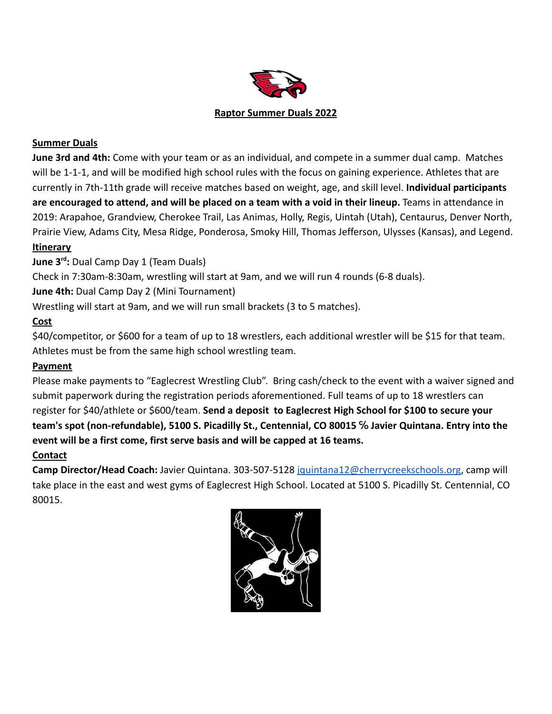

### **Summer Duals**

**June 3rd and 4th:** Come with your team or as an individual, and compete in a summer dual camp. Matches will be 1-1-1, and will be modified high school rules with the focus on gaining experience. Athletes that are currently in 7th-11th grade will receive matches based on weight, age, and skill level. **Individual participants are encouraged to attend, and will be placed on a team with a void in their lineup.** Teams in attendance in 2019: Arapahoe, Grandview, Cherokee Trail, Las Animas, Holly, Regis, Uintah (Utah), Centaurus, Denver North, Prairie View, Adams City, Mesa Ridge, Ponderosa, Smoky Hill, Thomas Jefferson, Ulysses (Kansas), and Legend.

# **Itinerary**

**June 3rd :** Dual Camp Day 1 (Team Duals)

Check in 7:30am-8:30am, wrestling will start at 9am, and we will run 4 rounds (6-8 duals).

**June 4th:** Dual Camp Day 2 (Mini Tournament)

Wrestling will start at 9am, and we will run small brackets (3 to 5 matches).

#### **Cost**

\$40/competitor, or \$600 for a team of up to 18 wrestlers, each additional wrestler will be \$15 for that team. Athletes must be from the same high school wrestling team.

#### **Payment**

Please make payments to "Eaglecrest Wrestling Club". Bring cash/check to the event with a waiver signed and submit paperwork during the registration periods aforementioned. Full teams of up to 18 wrestlers can register for \$40/athlete or \$600/team. **Send a deposit to Eaglecrest High School for \$100 to secure your team's spot (non-refundable), 5100 S. Picadilly St., Centennial, CO 80015 ℅ Javier Quintana. Entry into the event will be a first come, first serve basis and will be capped at 16 teams.**

## **Contact**

**Camp Director/Head Coach:** Javier Quintana. 303-507-5128 [jquintana12@cherrycreekschools.org](mailto:jquintana12@cherrycreekschools.org), camp will take place in the east and west gyms of Eaglecrest High School. Located at 5100 S. Picadilly St. Centennial, CO 80015.